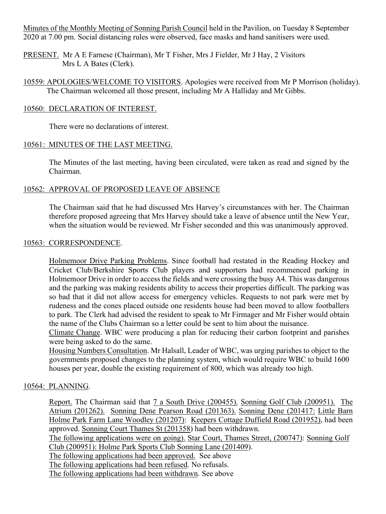Minutes of the Monthly Meeting of Sonning Parish Council held in the Pavilion, on Tuesday 8 September 2020 at 7.00 pm. Social distancing rules were observed, face masks and hand sanitisers were used.

PRESENT. Mr A E Farnese (Chairman), Mr T Fisher, Mrs J Fielder, Mr J Hay, 2 Visitors Mrs L A Bates (Clerk).

10559: APOLOGIES/WELCOME TO VISITORS. Apologies were received from Mr P Morrison (holiday). The Chairman welcomed all those present, including Mr A Halliday and Mr Gibbs.

### 10560: DECLARATION OF INTEREST.

There were no declarations of interest.

### 10561: MINUTES OF THE LAST MEETING.

The Minutes of the last meeting, having been circulated, were taken as read and signed by the Chairman.

# 10562: APPROVAL OF PROPOSED LEAVE OF ABSENCE

The Chairman said that he had discussed Mrs Harvey's circumstances with her. The Chairman therefore proposed agreeing that Mrs Harvey should take a leave of absence until the New Year, when the situation would be reviewed. Mr Fisher seconded and this was unanimously approved.

#### 10563: CORRESPONDENCE.

Holmemoor Drive Parking Problems. Since football had restated in the Reading Hockey and Cricket Club/Berkshire Sports Club players and supporters had recommenced parking in Holmemoor Drive in order to access the fields and were crossing the busy A4. This was dangerous and the parking was making residents ability to access their properties difficult. The parking was so bad that it did not allow access for emergency vehicles. Requests to not park were met by rudeness and the cones placed outside one residents house had been moved to allow footballers to park. The Clerk had advised the resident to speak to Mr Firmager and Mr Fisher would obtain the name of the Clubs Chairman so a letter could be sent to him about the nuisance.

Climate Change. WBC were producing a plan for reducing their carbon footprint and parishes were being asked to do the same.

Housing Numbers Consultation. Mr Halsall, Leader of WBC, was urging parishes to object to the governments proposed changes to the planning system, which would require WBC to build 1600 houses per year, double the existing requirement of 800, which was already too high.

#### 10564: PLANNING.

Report. The Chairman said that 7 a South Drive (200455). Sonning Golf Club (200951). The Atrium (201262). Sonning Dene Pearson Road (201363). Sonning Dene (201417: Little Barn Holme Park Farm Lane Woodley (201207): Keepers Cottage Duffield Road (201952), had been approved. Sonning Court Thames St (201358) had been withdrawn.

The following applications were on going). Star Court, Thames Street, (200747): Sonning Golf Club (200951): Holme Park Sports Club Sonning Lane (201409).

The following applications had been approved. See above

The following applications had been refused. No refusals.

The following applications had been withdrawn. See above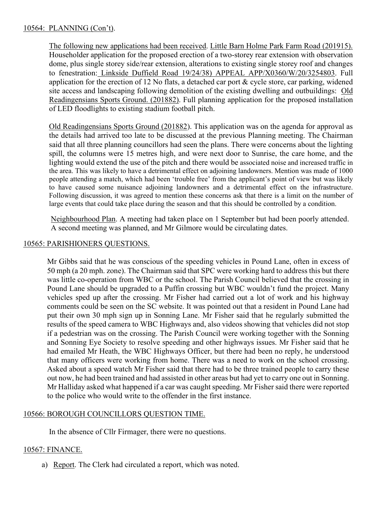# 10564: PLANNING (Con't).

The following new applications had been received. Little Barn Holme Park Farm Road (201915). Householder application for the proposed erection of a two-storey rear extension with observation dome, plus single storey side/rear extension, alterations to existing single storey roof and changes to fenestration: Linkside Duffield Road 19/24/38) APPEAL APP/X0360/W/20/3254803. Full application for the erection of 12 No flats, a detached car port & cycle store, car parking, widened site access and landscaping following demolition of the existing dwelling and outbuildings: Old Readingensians Sports Ground. (201882). Full planning application for the proposed installation of LED floodlights to existing stadium football pitch.

Old Readingensians Sports Ground (201882). This application was on the agenda for approval as the details had arrived too late to be discussed at the previous Planning meeting. The Chairman said that all three planning councillors had seen the plans. There were concerns about the lighting spill, the columns were 15 metres high, and were next door to Sunrise, the care home, and the lighting would extend the use of the pitch and there would be associated noise and increased traffic in the area. This was likely to have a detrimental effect on adjoining landowners. Mention was made of 1000 people attending a match, which had been 'trouble free' from the applicant's point of view but was likely to have caused some nuisance adjoining landowners and a detrimental effect on the infrastructure. Following discussion, it was agreed to mention these concerns ask that there is a limit on the number of large events that could take place during the season and that this should be controlled by a condition.

Neighbourhood Plan. A meeting had taken place on 1 September but had been poorly attended. A second meeting was planned, and Mr Gilmore would be circulating dates.

#### 10565: PARISHIONERS QUESTIONS.

Mr Gibbs said that he was conscious of the speeding vehicles in Pound Lane, often in excess of 50 mph (a 20 mph. zone). The Chairman said that SPC were working hard to address this but there was little co-operation from WBC or the school. The Parish Council believed that the crossing in Pound Lane should be upgraded to a Puffin crossing but WBC wouldn't fund the project. Many vehicles sped up after the crossing. Mr Fisher had carried out a lot of work and his highway comments could be seen on the SC website. It was pointed out that a resident in Pound Lane had put their own 30 mph sign up in Sonning Lane. Mr Fisher said that he regularly submitted the results of the speed camera to WBC Highways and, also videos showing that vehicles did not stop if a pedestrian was on the crossing. The Parish Council were working together with the Sonning and Sonning Eye Society to resolve speeding and other highways issues. Mr Fisher said that he had emailed Mr Heath, the WBC Highways Officer, but there had been no reply, he understood that many officers were working from home. There was a need to work on the school crossing. Asked about a speed watch Mr Fisher said that there had to be three trained people to carry these out now, he had been trained and had assisted in other areas but had yet to carry one out in Sonning. Mr Halliday asked what happened if a car was caught speeding. Mr Fisher said there were reported to the police who would write to the offender in the first instance.

# 10566: BOROUGH COUNCILLORS QUESTION TIME.

In the absence of Cllr Firmager, there were no questions.

# 10567: FINANCE.

a) Report. The Clerk had circulated a report, which was noted.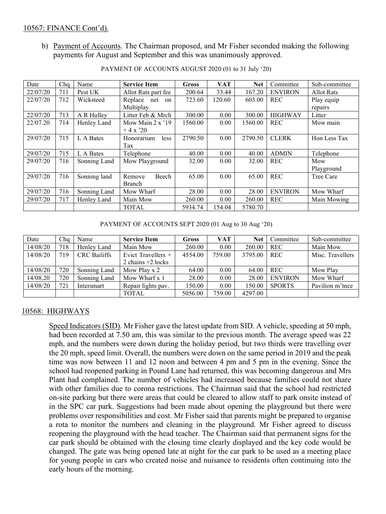b) Payment of Accounts. The Chairman proposed, and Mr Fisher seconded making the following payments for August and September and this was unanimously approved.

| Date     | Cha | Name         | <b>Service Item</b>       | <b>Gross</b> | <b>VAT</b> | <b>Net</b> | Committee      | Sub-committee     |
|----------|-----|--------------|---------------------------|--------------|------------|------------|----------------|-------------------|
| 22/07/20 | 711 | Pest UK      | Allot Rats part fee       | 200.64       | 33.44      | 167.20     | <b>ENVIRON</b> | <b>Allot Rats</b> |
| 22/07/20 | 712 | Wicksteed    | Replace net on            | 723.60       | 120.60     | 603.00     | <b>REC</b>     | Play equip        |
|          |     |              | Multiplay                 |              |            |            |                | repairs           |
| 22/07/20 | 713 | A R Hulley   | Litter Feb & Mrch         | 300.00       | 0.00       | 300.00     | <b>HIGHWAY</b> | Litter            |
| 22/07.20 | 714 | Henley Land  | Mow Main $2 \times 19$    | 1560.00      | 0.00       | 1560.00    | <b>REC</b>     | Mow main          |
|          |     |              | $+4 \times 20$            |              |            |            |                |                   |
| 29/07/20 | 715 | L A Bates    | Honorarium<br><i>less</i> | 2790.50      | 0.00       | 2790.50    | <b>CLERK</b>   | Hon Less Tax      |
|          |     |              | Tax                       |              |            |            |                |                   |
| 29/07/20 | 715 | L A Bates    | Telephone                 | 40.00        | 0.00       | 40.00      | <b>ADMIN</b>   | Telephone         |
| 29/07/20 | 716 | Sonning Land | Mow Playground            | 32.00        | 0.00       | 32.00      | <b>REC</b>     | Mow               |
|          |     |              |                           |              |            |            |                | Playground        |
| 29/07/20 | 716 | Sonning land | Beech<br>Remove           | 65.00        | 0.00       | 65.00      | <b>REC</b>     | Tree Care         |
|          |     |              | <b>Branch</b>             |              |            |            |                |                   |
| 29/07/20 | 716 | Sonning Land | Mow Wharf                 | 28.00        | 0.00       | 28.00      | <b>ENVIRON</b> | Mow Wharf         |
| 29/07/20 | 717 | Henley Land  | Main Mow                  | 260.00       | 0.00       | 260.00     | <b>REC</b>     | Main Mowing       |
|          |     |              | <b>TOTAL</b>              | 5934.74      | 154.04     | 5780.70    |                |                   |

PAYMENT OF ACCOUNTS AUGUST 2020 (01 to 31 July '20)

PAYMENT OF ACCOUNTS SEPT 2020 (01 Aug to 30 Aug '20)

| Date     | Cha | Name                | <b>Service Item</b>  | Gross   | <b>VAT</b> | <b>Net</b> | Committee      | Sub-committee    |
|----------|-----|---------------------|----------------------|---------|------------|------------|----------------|------------------|
| 14/08/20 | 718 | Henley Land         | Main Mow             | 260.00  | 0.00       | 260.00     | <b>REC</b>     | Main Mow         |
| 14/08/20 | 719 | <b>CRC</b> Bailiffs | Evict Travellers $+$ | 4554.00 | 759.00     | 3795.00    | <b>REC</b>     | Misc. Travellers |
|          |     |                     | 2 chains $+2$ locks  |         |            |            |                |                  |
| 14/08/20 | 720 | Sonning Land        | Mow Play x 2         | 64.00   | 0.00       | 64.00      | <b>REC</b>     | Mow Play         |
| 14/08.20 | 720 | Sonning Land        | Mow Wharf x 1        | 28.00   | 0.00       | 28.00      | <b>ENVIRON</b> | Mow Wharf        |
| 14/08/20 | 721 | Intersmart          | Repair lights pav.   | 150.00  | 0.00       | 150.00     | <b>SPORTS</b>  | Pavilion m'tnee  |
|          |     |                     | <b>TOTAL</b>         | 5056.00 | 759.00     | 4297.00    |                |                  |

# 10568: HIGHWAYS

Speed Indicators (SID). Mr Fisher gave the latest update from SID. A vehicle, speeding at 50 mph, had been recorded at 7.50 am, this was similar to the previous month. The average speed was 22 mph, and the numbers were down during the holiday period, but two thirds were travelling over the 20 mph, speed limit. Overall, the numbers were down on the same period in 2019 and the peak time was now between 11 and 12 noon and between 4 pm and 5 pm in the evening. Since the school had reopened parking in Pound Lane had returned, this was becoming dangerous and Mrs Plant had complained. The number of vehicles had increased because families could not share with other families due to corona restrictions. The Chairman said that the school had restricted on-site parking but there were areas that could be cleared to allow staff to park onsite instead of in the SPC car park. Suggestions had been made about opening the playground but there were problems over responsibilities and cost. Mr Fisher said that parents might be prepared to organise a rota to monitor the numbers and cleaning in the playground. Mr Fisher agreed to discuss reopening the playground with the head teacher. The Chairman said that permanent signs for the car park should be obtained with the closing time clearly displayed and the key code would be changed. The gate was being opened late at night for the car park to be used as a meeting place for young people in cars who created noise and nuisance to residents often continuing into the early hours of the morning.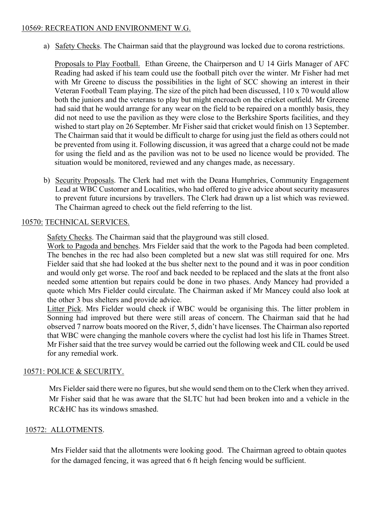### 10569: RECREATION AND ENVIRONMENT W.G.

a) Safety Checks. The Chairman said that the playground was locked due to corona restrictions.

Proposals to Play Football. Ethan Greene, the Chairperson and U 14 Girls Manager of AFC Reading had asked if his team could use the football pitch over the winter. Mr Fisher had met with Mr Greene to discuss the possibilities in the light of SCC showing an interest in their Veteran Football Team playing. The size of the pitch had been discussed, 110 x 70 would allow both the juniors and the veterans to play but might encroach on the cricket outfield. Mr Greene had said that he would arrange for any wear on the field to be repaired on a monthly basis, they did not need to use the pavilion as they were close to the Berkshire Sports facilities, and they wished to start play on 26 September. Mr Fisher said that cricket would finish on 13 September. The Chairman said that it would be difficult to charge for using just the field as others could not be prevented from using it. Following discussion, it was agreed that a charge could not be made for using the field and as the pavilion was not to be used no licence would be provided. The situation would be monitored, reviewed and any changes made, as necessary.

b) Security Proposals. The Clerk had met with the Deana Humphries, Community Engagement Lead at WBC Customer and Localities, who had offered to give advice about security measures to prevent future incursions by travellers. The Clerk had drawn up a list which was reviewed. The Chairman agreed to check out the field referring to the list.

#### 10570: TECHNICAL SERVICES.

Safety Checks. The Chairman said that the playground was still closed.

Work to Pagoda and benches. Mrs Fielder said that the work to the Pagoda had been completed. The benches in the rec had also been completed but a new slat was still required for one. Mrs Fielder said that she had looked at the bus shelter next to the pound and it was in poor condition and would only get worse. The roof and back needed to be replaced and the slats at the front also needed some attention but repairs could be done in two phases. Andy Mancey had provided a quote which Mrs Fielder could circulate. The Chairman asked if Mr Mancey could also look at the other 3 bus shelters and provide advice.

Litter Pick. Mrs Fielder would check if WBC would be organising this. The litter problem in Sonning had improved but there were still areas of concern. The Chairman said that he had observed 7 narrow boats moored on the River, 5, didn't have licenses. The Chairman also reported that WBC were changing the manhole covers where the cyclist had lost his life in Thames Street. Mr Fisher said that the tree survey would be carried out the following week and CIL could be used for any remedial work.

# 10571: POLICE & SECURITY.

Mrs Fielder said there were no figures, but she would send them on to the Clerk when they arrived. Mr Fisher said that he was aware that the SLTC hut had been broken into and a vehicle in the RC&HC has its windows smashed.

#### 10572: ALLOTMENTS.

Mrs Fielder said that the allotments were looking good. The Chairman agreed to obtain quotes for the damaged fencing, it was agreed that 6 ft heigh fencing would be sufficient.